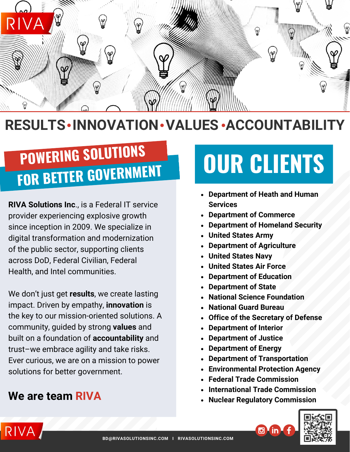

# **RESULTS • INNOVATION • VALUES • ACCOUNTABILITY**

# **FOR BETTER GOVERNMENT POWERING SOLUTIONS**

**RIVA Solutions Inc**., is a Federal IT service provider experiencing explosive growth since inception in 2009. We specialize in digital transformation and modernization of the public sector, supporting clients across DoD, Federal Civilian, Federal Health, and Intel communities.

We don't just get **results**, we create lasting impact. Driven by empathy, **innovation** is the key to our mission-oriented solutions. A community, guided by strong **values** and built on a foundation of **accountability** and trust–we embrace agility and take risks. Ever curious, we are on a mission to power solutions for better government.

### **We are team RIVA**

# **OUR CLIENTS**

- **Department of Heath and Human Services**
- **Department of Commerce**
- **Department of Homeland Security**
- **United States Army**
- **Department of Agriculture**
- **United States Navy**
- **United States Air Force**
- **Department of Education**
- **Department of State**
- **National Science Foundation**
- **National Guard Bureau**
- **Office of the Secretary of Defense**
- **Department of Interior**
- **Department of Justice**
- **Department of Energy**
- **Department of Transportation**
- **Environmental Protection Agency**
- **Federal Trade Commission**
- **International Trade Commission**
- **Nuclear Regulatory Commission**